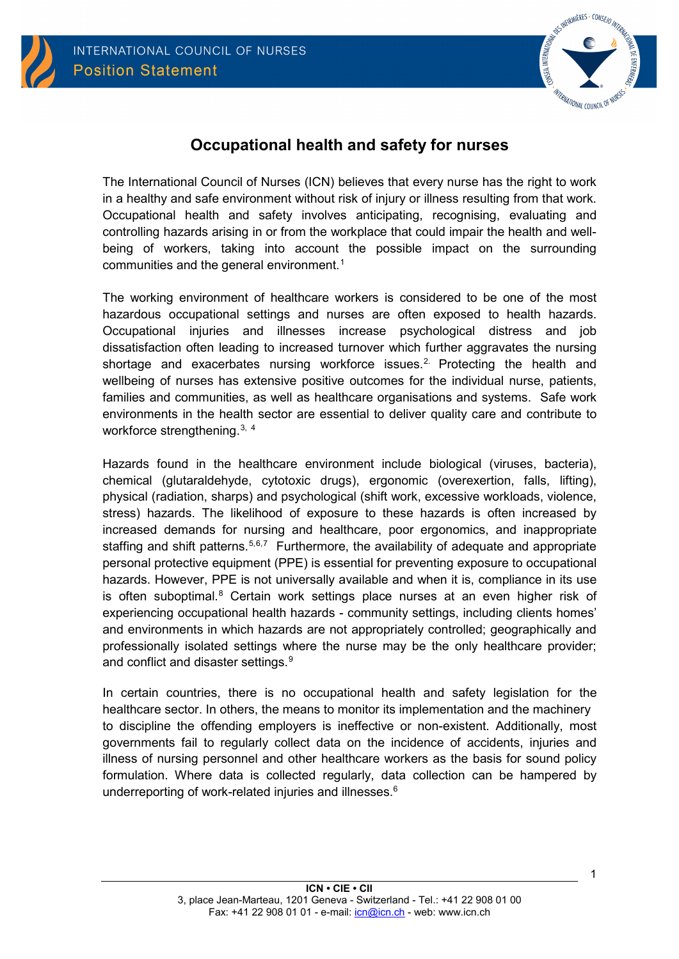



# <span id="page-0-0"></span>**Occupational health and safety for nurses**

The International Council of Nurses (ICN) believes that every nurse has the right to work in a healthy and safe environment without risk of injury or illness resulting from that work. Occupational health and safety involves anticipating, recognising, evaluating and controlling hazards arising in or from the workplace that could impair the health and wellbeing of workers, taking into account the possible impact on the surrounding communities and the general environment. [1](#page-3-0)

The working environment of healthcare workers is considered to be one of the most hazardous occupational settings and nurses are often exposed to health hazards. Occupational injuries and illnesses increase psychological distress and job dissatisfaction often leading to increased turnover which further aggravates the nursing shortage and exacerbates nursing workforce issues.<sup>[2.](#page-3-1)</sup> Protecting the health and wellbeing of nurses has extensive positive outcomes for the individual nurse, patients, families and communities, as well as healthcare organisations and systems. Safe work environments in the health sector are essential to deliver quality care and contribute to workforce strengthening.<sup>[3,](#page-3-2) [4](#page-3-3)</sup>

Hazards found in the healthcare environment include biological (viruses, bacteria), chemical (glutaraldehyde, cytotoxic drugs), ergonomic (overexertion, falls, lifting), physical (radiation, sharps) and psychological (shift work, excessive workloads, violence, stress) hazards. The likelihood of exposure to these hazards is often increased by increased demands for nursing and healthcare, poor ergonomics, and inappropriate staffing and shift patterns.<sup>[5](#page-3-4),[6,](#page-3-5)[7](#page-3-6)</sup> Furthermore, the availability of adequate and appropriate personal protective equipment (PPE) is essential for preventing exposure to occupational hazards. However, PPE is not universally available and when it is, compliance in its use is often suboptimal. $8$  Certain work settings place nurses at an even higher risk of experiencing occupational health hazards - community settings, including clients homes' and environments in which hazards are not appropriately controlled; geographically and professionally isolated settings where the nurse may be the only healthcare provider; and conflict and disaster settings. [9](#page-3-8)

In certain countries, there is no occupational health and safety legislation for the healthcare sector. In others, the means to monitor its implementation and the machinery to discipline the offending employers is ineffective or non-existent. Additionally, most governments fail to regularly collect data on the incidence of accidents, injuries and illness of nursing personnel and other healthcare workers as the basis for sound policy formulation. Where data is collected regularly, data collection can be hampered by underreporting of work-related injuries and illnesses. 6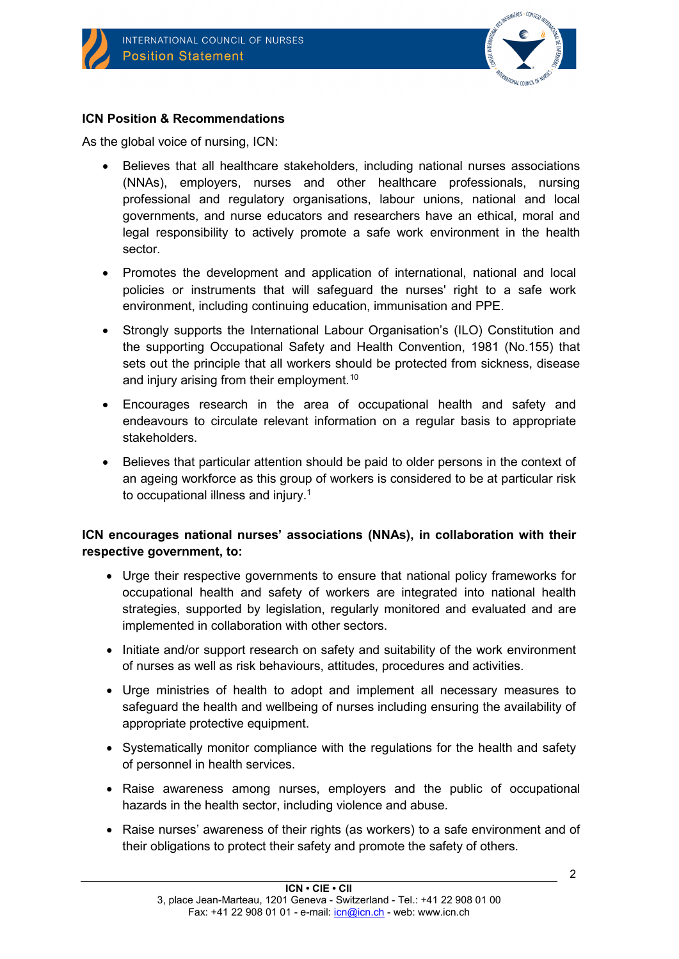

## **ICN Position & Recommendations**

As the global voice of nursing, ICN:

- Believes that all healthcare stakeholders, including national nurses associations (NNAs), employers, nurses and other healthcare professionals, nursing professional and regulatory organisations, labour unions, national and local governments, and nurse educators and researchers have an ethical, moral and legal responsibility to actively promote a safe work environment in the health sector.
- Promotes the development and application of international, national and local policies or instruments that will safeguard the nurses' right to a safe work environment, including continuing education, immunisation and PPE.
- Strongly supports the International Labour Organisation's (ILO) Constitution and the supporting Occupational Safety and Health Convention, 1981 (No.155) that sets out the principle that all workers should be protected from sickness, disease and injury arising from their employment.<sup>[10](#page-3-9)</sup>
- Encourages research in the area of occupational health and safety and endeavours to circulate relevant information on a regular basis to appropriate stakeholders.
- Believes that particular attention should be paid to older persons in the context of an ageing workforce as this group of workers is considered to be at particular risk to occupational illness and injury. [1](#page-0-0)

## **ICN encourages national nurses' associations (NNAs), in collaboration with their respective government, to:**

- Urge their respective governments to ensure that national policy frameworks for occupational health and safety of workers are integrated into national health strategies, supported by legislation, regularly monitored and evaluated and are implemented in collaboration with other sectors.
- Initiate and/or support research on safety and suitability of the work environment of nurses as well as risk behaviours, attitudes, procedures and activities.
- Urge ministries of health to adopt and implement all necessary measures to safeguard the health and wellbeing of nurses including ensuring the availability of appropriate protective equipment.
- Systematically monitor compliance with the regulations for the health and safety of personnel in health services.
- Raise awareness among nurses, employers and the public of occupational hazards in the health sector, including violence and abuse.
- Raise nurses' awareness of their rights (as workers) to a safe environment and of their obligations to protect their safety and promote the safety of others.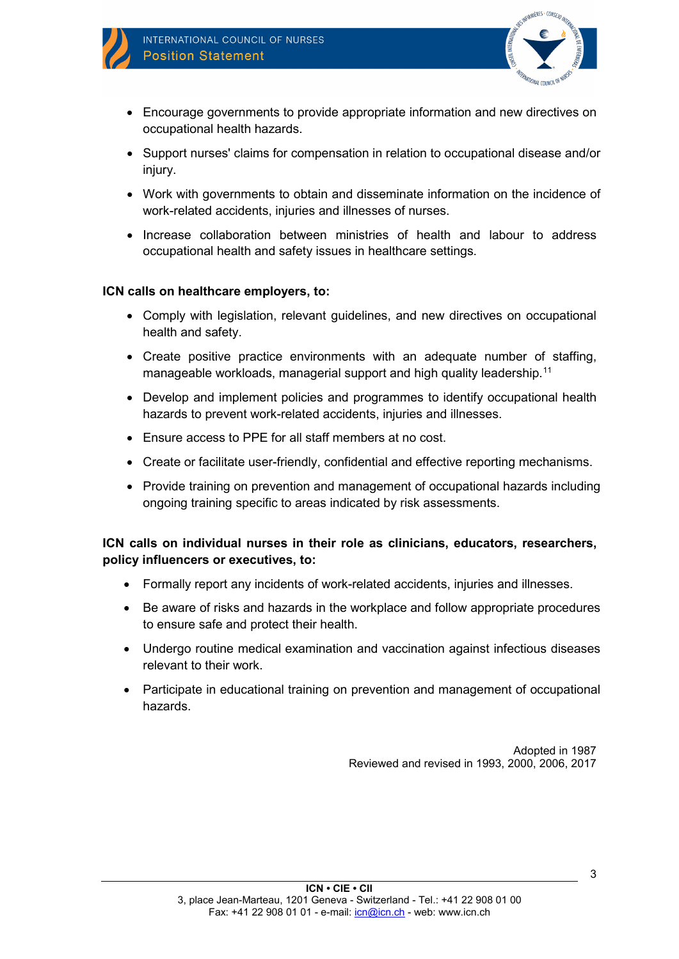



- Encourage governments to provide appropriate information and new directives on occupational health hazards.
- Support nurses' claims for compensation in relation to occupational disease and/or injury.
- Work with governments to obtain and disseminate information on the incidence of work-related accidents, injuries and illnesses of nurses.
- Increase collaboration between ministries of health and labour to address occupational health and safety issues in healthcare settings.

#### **ICN calls on healthcare employers, to:**

- Comply with legislation, relevant guidelines, and new directives on occupational health and safety.
- Create positive practice environments with an adequate number of staffing, manageable workloads, managerial support and high quality leadership.<sup>[11](#page-3-10)</sup>
- Develop and implement policies and programmes to identify occupational health hazards to prevent work-related accidents, injuries and illnesses.
- Ensure access to PPE for all staff members at no cost.
- Create or facilitate user-friendly, confidential and effective reporting mechanisms.
- Provide training on prevention and management of occupational hazards including ongoing training specific to areas indicated by risk assessments.

**ICN calls on individual nurses in their role as clinicians, educators, researchers, policy influencers or executives, to:**

- Formally report any incidents of work-related accidents, injuries and illnesses.
- Be aware of risks and hazards in the workplace and follow appropriate procedures to ensure safe and protect their health.
- Undergo routine medical examination and vaccination against infectious diseases relevant to their work.
- Participate in educational training on prevention and management of occupational hazards.

Adopted in 1987 Reviewed and revised in 1993, 2000, 2006, 2017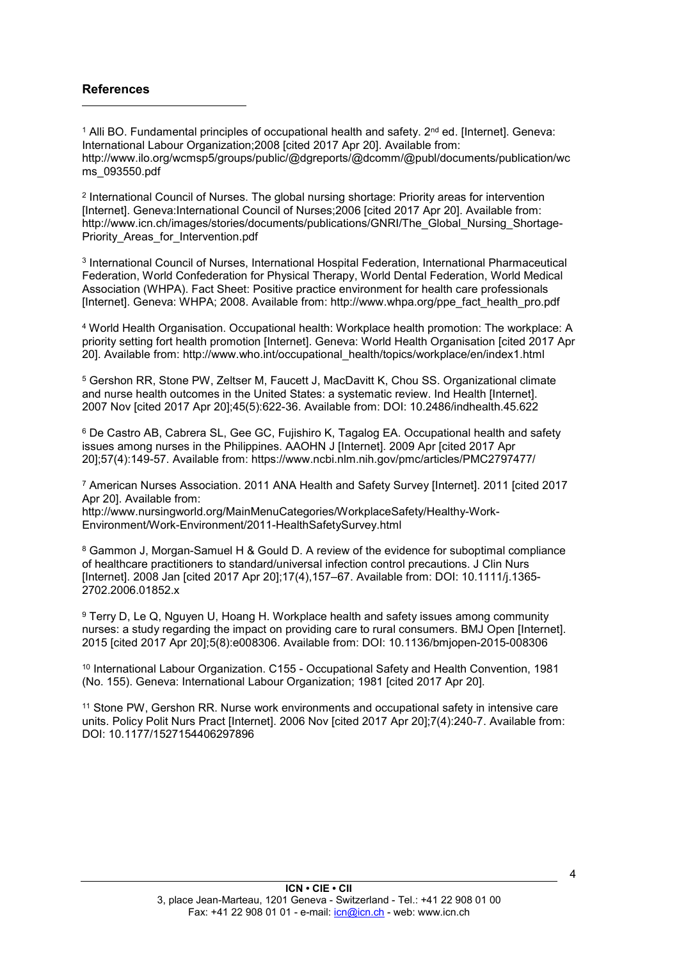#### **References**

-

<span id="page-3-0"></span> $1$  Alli BO. Fundamental principles of occupational health and safety.  $2^{nd}$  ed. [Internet]. Geneva: International Labour Organization;2008 [cited 2017 Apr 20]. Available from: http://www.ilo.org/wcmsp5/groups/public/@dgreports/@dcomm/@publ/documents/publication/wc ms\_093550.pdf

<span id="page-3-1"></span><sup>2</sup> International Council of Nurses. The global nursing shortage: Priority areas for intervention [Internet]. Geneva:International Council of Nurses;2006 [cited 2017 Apr 20]. Available from: http://www.icn.ch/images/stories/documents/publications/GNRI/The\_Global\_Nursing\_Shortage-Priority Areas for Intervention.pdf

<span id="page-3-2"></span><sup>3</sup> International Council of Nurses, International Hospital Federation, International Pharmaceutical Federation, World Confederation for Physical Therapy, World Dental Federation, World Medical Association (WHPA). Fact Sheet: Positive practice environment for health care professionals [Internet]. Geneva: WHPA; 2008. Available from: http://www.whpa.org/ppe\_fact\_health\_pro.pdf

<span id="page-3-3"></span><sup>4</sup> World Health Organisation. Occupational health: Workplace health promotion: The workplace: A priority setting fort health promotion [Internet]. Geneva: World Health Organisation [cited 2017 Apr 20]. Available from: http://www.who.int/occupational\_health/topics/workplace/en/index1.html

<span id="page-3-4"></span><sup>5</sup> Gershon RR, Stone PW, Zeltser M, Faucett J, MacDavitt K, Chou SS. Organizational climate and nurse health outcomes in the United States: a systematic review. Ind Health [Internet]. 2007 Nov [cited 2017 Apr 20];45(5):622-36. Available from: DOI: 10.2486/indhealth.45.622

<span id="page-3-5"></span><sup>6</sup> De Castro AB, Cabrera SL, Gee GC, Fujishiro K, Tagalog EA. Occupational health and safety issues among nurses in the Philippines. AAOHN J [Internet]. 2009 Apr [cited 2017 Apr 20];57(4):149-57. Available from: https://www.ncbi.nlm.nih.gov/pmc/articles/PMC2797477/

<span id="page-3-6"></span><sup>7</sup> American Nurses Association. 2011 ANA Health and Safety Survey [Internet]. 2011 [cited 2017 Apr 20]. Available from:

http://www.nursingworld.org/MainMenuCategories/WorkplaceSafety/Healthy-Work-Environment/Work-Environment/2011-HealthSafetySurvey.html

<span id="page-3-7"></span><sup>8</sup> Gammon J, Morgan-Samuel H & Gould D. A review of the evidence for suboptimal compliance of healthcare practitioners to standard/universal infection control precautions. J Clin Nurs [Internet]. 2008 Jan [cited 2017 Apr 20];17(4),157–67. Available from: DOI: 10.1111/j.1365- 2702.2006.01852.x

<span id="page-3-8"></span><sup>9</sup> Terry D, Le Q, Nguyen U, Hoang H. Workplace health and safety issues among community nurses: a study regarding the impact on providing care to rural consumers. BMJ Open [Internet]. 2015 [cited 2017 Apr 20];5(8):e008306. Available from: DOI: 10.1136/bmjopen-2015-008306

<span id="page-3-9"></span><sup>10</sup> International Labour Organization. C155 - Occupational Safety and Health Convention, 1981 (No. 155). Geneva: International Labour Organization; 1981 [cited 2017 Apr 20].

<span id="page-3-10"></span><sup>11</sup> Stone PW, Gershon RR. Nurse work environments and occupational safety in intensive care units. Policy Polit Nurs Pract [Internet]. 2006 Nov [cited 2017 Apr 20];7(4):240-7. Available from: DOI: 10.1177/1527154406297896